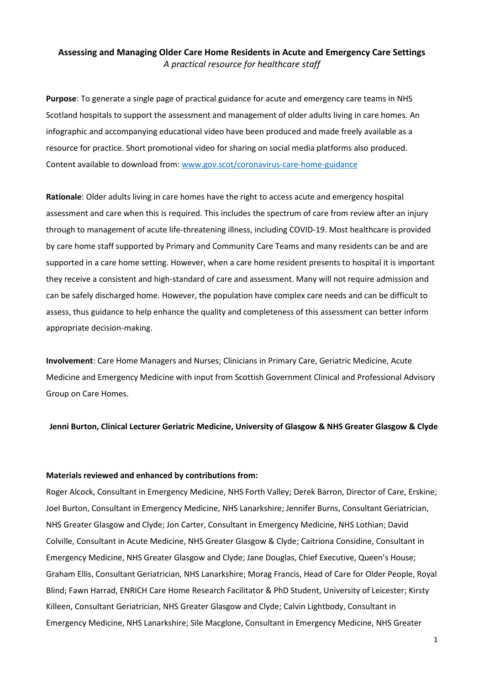# **Assessing and Managing Older Care Home Residents in Acute and Emergency Care Settings** *A practical resource for healthcare staff*

**Purpose**: To generate a single page of practical guidance for acute and emergency care teams in NHS Scotland hospitals to support the assessment and management of older adults living in care homes. An infographic and accompanying educational video have been produced and made freely available as a resource for practice. Short promotional video for sharing on social media platforms also produced. Content available to download from[: www.gov.scot/coronavirus-care-home-guidance](www.gov.scot/coronavirus-care-home-guidance)

**Rationale**: Older adults living in care homes have the right to access acute and emergency hospital assessment and care when this is required. This includes the spectrum of care from review after an injury through to management of acute life-threatening illness, including COVID-19. Most healthcare is provided by care home staff supported by Primary and Community Care Teams and many residents can be and are supported in a care home setting. However, when a care home resident presents to hospital it is important they receive a consistent and high-standard of care and assessment. Many will not require admission and can be safely discharged home. However, the population have complex care needs and can be difficult to assess, thus guidance to help enhance the quality and completeness of this assessment can better inform appropriate decision-making.

**Involvement**: Care Home Managers and Nurses; Clinicians in Primary Care, Geriatric Medicine, Acute Medicine and Emergency Medicine with input from Scottish Government Clinical and Professional Advisory Group on Care Homes.

**Jenni Burton, Clinical Lecturer Geriatric Medicine, University of Glasgow & NHS Greater Glasgow & Clyde**

### **Materials reviewed and enhanced by contributions from:**

Roger Alcock, Consultant in Emergency Medicine, NHS Forth Valley; Derek Barron, Director of Care, Erskine; Joel Burton, Consultant in Emergency Medicine, NHS Lanarkshire; Jennifer Burns, Consultant Geriatrician, NHS Greater Glasgow and Clyde; Jon Carter, Consultant in Emergency Medicine, NHS Lothian; David Colville, Consultant in Acute Medicine, NHS Greater Glasgow & Clyde; Caitriona Considine, Consultant in Emergency Medicine, NHS Greater Glasgow and Clyde; Jane Douglas, Chief Executive, Queen's House; Graham Ellis, Consultant Geriatrician, NHS Lanarkshire; Morag Francis, Head of Care for Older People, Royal Blind; Fawn Harrad, ENRICH Care Home Research Facilitator & PhD Student, University of Leicester; Kirsty Killeen, Consultant Geriatrician, NHS Greater Glasgow and Clyde; Calvin Lightbody, Consultant in Emergency Medicine, NHS Lanarkshire; Sile Macglone, Consultant in Emergency Medicine, NHS Greater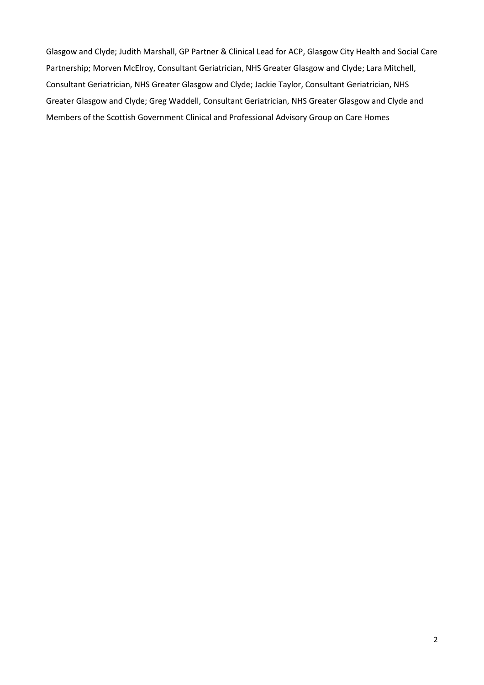Glasgow and Clyde; Judith Marshall, GP Partner & Clinical Lead for ACP, Glasgow City Health and Social Care Partnership; Morven McElroy, Consultant Geriatrician, NHS Greater Glasgow and Clyde; Lara Mitchell, Consultant Geriatrician, NHS Greater Glasgow and Clyde; Jackie Taylor, Consultant Geriatrician, NHS Greater Glasgow and Clyde; Greg Waddell, Consultant Geriatrician, NHS Greater Glasgow and Clyde and Members of the Scottish Government Clinical and Professional Advisory Group on Care Homes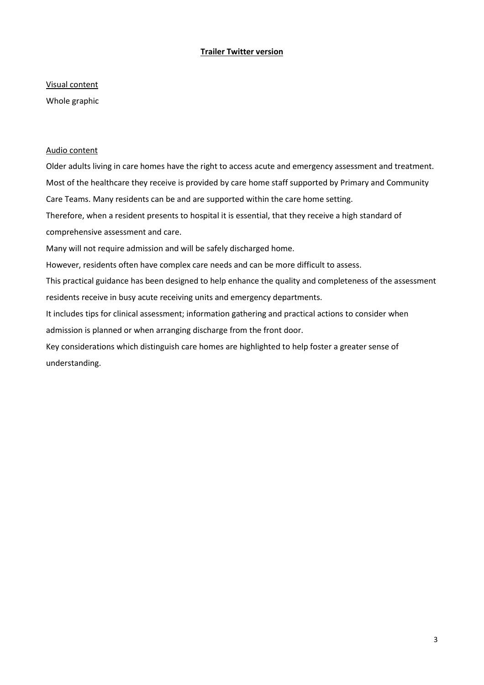# **Trailer Twitter version**

Visual content

Whole graphic

# Audio content

Older adults living in care homes have the right to access acute and emergency assessment and treatment. Most of the healthcare they receive is provided by care home staff supported by Primary and Community Care Teams. Many residents can be and are supported within the care home setting. Therefore, when a resident presents to hospital it is essential, that they receive a high standard of comprehensive assessment and care. Many will not require admission and will be safely discharged home. However, residents often have complex care needs and can be more difficult to assess. This practical guidance has been designed to help enhance the quality and completeness of the assessment residents receive in busy acute receiving units and emergency departments. It includes tips for clinical assessment; information gathering and practical actions to consider when admission is planned or when arranging discharge from the front door. Key considerations which distinguish care homes are highlighted to help foster a greater sense of understanding.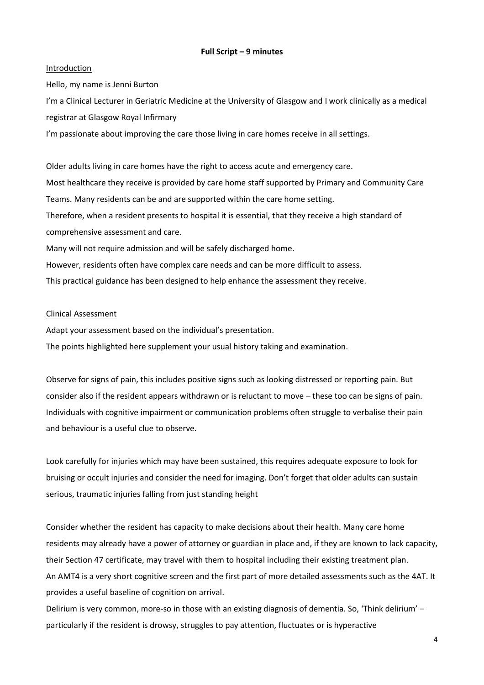# **Full Script – 9 minutes**

## Introduction

Hello, my name is Jenni Burton

I'm a Clinical Lecturer in Geriatric Medicine at the University of Glasgow and I work clinically as a medical registrar at Glasgow Royal Infirmary

I'm passionate about improving the care those living in care homes receive in all settings.

Older adults living in care homes have the right to access acute and emergency care. Most healthcare they receive is provided by care home staff supported by Primary and Community Care Teams. Many residents can be and are supported within the care home setting. Therefore, when a resident presents to hospital it is essential, that they receive a high standard of comprehensive assessment and care. Many will not require admission and will be safely discharged home. However, residents often have complex care needs and can be more difficult to assess.

This practical guidance has been designed to help enhance the assessment they receive.

# Clinical Assessment

Adapt your assessment based on the individual's presentation.

The points highlighted here supplement your usual history taking and examination.

Observe for signs of pain, this includes positive signs such as looking distressed or reporting pain. But consider also if the resident appears withdrawn or is reluctant to move – these too can be signs of pain. Individuals with cognitive impairment or communication problems often struggle to verbalise their pain and behaviour is a useful clue to observe.

Look carefully for injuries which may have been sustained, this requires adequate exposure to look for bruising or occult injuries and consider the need for imaging. Don't forget that older adults can sustain serious, traumatic injuries falling from just standing height

Consider whether the resident has capacity to make decisions about their health. Many care home residents may already have a power of attorney or guardian in place and, if they are known to lack capacity, their Section 47 certificate, may travel with them to hospital including their existing treatment plan. An AMT4 is a very short cognitive screen and the first part of more detailed assessments such as the 4AT. It provides a useful baseline of cognition on arrival.

Delirium is very common, more-so in those with an existing diagnosis of dementia. So, 'Think delirium' – particularly if the resident is drowsy, struggles to pay attention, fluctuates or is hyperactive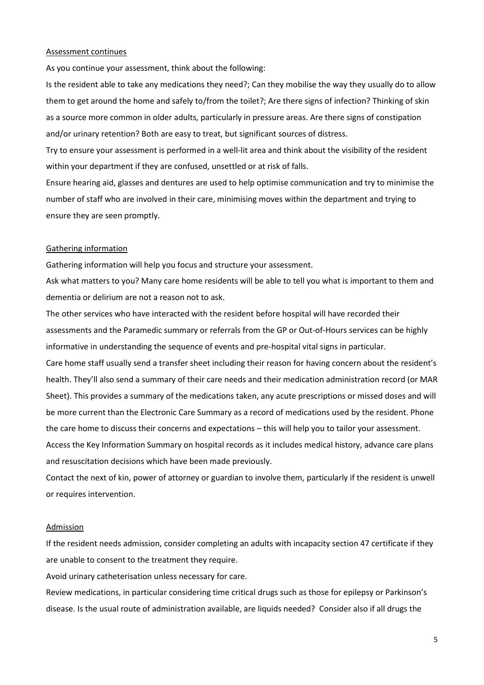### Assessment continues

As you continue your assessment, think about the following:

Is the resident able to take any medications they need?; Can they mobilise the way they usually do to allow them to get around the home and safely to/from the toilet?; Are there signs of infection? Thinking of skin as a source more common in older adults, particularly in pressure areas. Are there signs of constipation and/or urinary retention? Both are easy to treat, but significant sources of distress.

Try to ensure your assessment is performed in a well-lit area and think about the visibility of the resident within your department if they are confused, unsettled or at risk of falls.

Ensure hearing aid, glasses and dentures are used to help optimise communication and try to minimise the number of staff who are involved in their care, minimising moves within the department and trying to ensure they are seen promptly.

#### Gathering information

Gathering information will help you focus and structure your assessment.

Ask what matters to you? Many care home residents will be able to tell you what is important to them and dementia or delirium are not a reason not to ask.

The other services who have interacted with the resident before hospital will have recorded their assessments and the Paramedic summary or referrals from the GP or Out-of-Hours services can be highly informative in understanding the sequence of events and pre-hospital vital signs in particular.

Care home staff usually send a transfer sheet including their reason for having concern about the resident's health. They'll also send a summary of their care needs and their medication administration record (or MAR Sheet). This provides a summary of the medications taken, any acute prescriptions or missed doses and will be more current than the Electronic Care Summary as a record of medications used by the resident. Phone the care home to discuss their concerns and expectations – this will help you to tailor your assessment.

Access the Key Information Summary on hospital records as it includes medical history, advance care plans and resuscitation decisions which have been made previously.

Contact the next of kin, power of attorney or guardian to involve them, particularly if the resident is unwell or requires intervention.

#### Admission

If the resident needs admission, consider completing an adults with incapacity section 47 certificate if they are unable to consent to the treatment they require.

Avoid urinary catheterisation unless necessary for care.

Review medications, in particular considering time critical drugs such as those for epilepsy or Parkinson's disease. Is the usual route of administration available, are liquids needed? Consider also if all drugs the